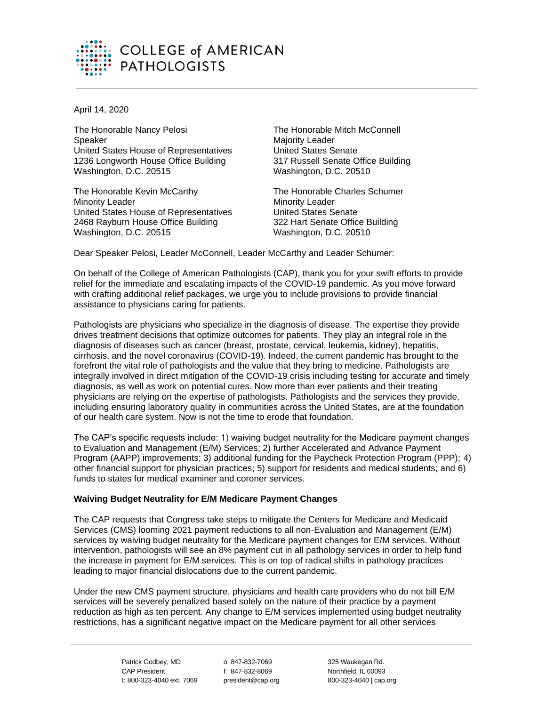

April 14, 2020

The Honorable Nancy Pelosi **Speaker** United States House of Representatives 1236 Longworth House Office Building Washington, D.C. 20515

The Honorable Kevin McCarthy Minority Leader United States House of Representatives 2468 Rayburn House Office Building Washington, D.C. 20515

The Honorable Mitch McConnell Majority Leader United States Senate 317 Russell Senate Office Building Washington, D.C. 20510

The Honorable Charles Schumer Minority Leader United States Senate 322 Hart Senate Office Building Washington, D.C. 20510

Dear Speaker Pelosi, Leader McConnell, Leader McCarthy and Leader Schumer:

On behalf of the College of American Pathologists (CAP), thank you for your swift efforts to provide relief for the immediate and escalating impacts of the COVID-19 pandemic. As you move forward with crafting additional relief packages, we urge you to include provisions to provide financial assistance to physicians caring for patients.

Pathologists are physicians who specialize in the diagnosis of disease. The expertise they provide drives treatment decisions that optimize outcomes for patients. They play an integral role in the diagnosis of diseases such as cancer (breast, prostate, cervical, leukemia, kidney), hepatitis, cirrhosis, and the novel coronavirus (COVID-19). Indeed, the current pandemic has brought to the forefront the vital role of pathologists and the value that they bring to medicine. Pathologists are integrally involved in direct mitigation of the COVID-19 crisis including testing for accurate and timely diagnosis, as well as work on potential cures. Now more than ever patients and their treating physicians are relying on the expertise of pathologists. Pathologists and the services they provide, including ensuring laboratory quality in communities across the United States, are at the foundation of our health care system. Now is not the time to erode that foundation.

The CAP's specific requests include: 1) waiving budget neutrality for the Medicare payment changes to Evaluation and Management (E/M) Services; 2) further Accelerated and Advance Payment Program (AAPP) improvements; 3) additional funding for the Paycheck Protection Program (PPP); 4) other financial support for physician practices; 5) support for residents and medical students; and 6) funds to states for medical examiner and coroner services.

# **Waiving Budget Neutrality for E/M Medicare Payment Changes**

The CAP requests that Congress take steps to mitigate the Centers for Medicare and Medicaid Services (CMS) looming 2021 payment reductions to all non-Evaluation and Management (E/M) services by waiving budget neutrality for the Medicare payment changes for E/M services. Without intervention, pathologists will see an 8% payment cut in all pathology services in order to help fund the increase in payment for E/M services. This is on top of radical shifts in pathology practices leading to major financial dislocations due to the current pandemic.

Under the new CMS payment structure, physicians and health care providers who do not bill E/M services will be severely penalized based solely on the nature of their practice by a payment reduction as high as ten percent. Any change to E/M services implemented using budget neutrality restrictions, has a significant negative impact on the Medicare payment for all other services

> Patrick Godbey, MD CAP President t: 800-323-4040 ext. 7069

o: 847-832-7069 f: 847-832-8069 president@cap.org

325 Waukegan Rd. Northfield, IL 60093 800-323-4040 | cap.org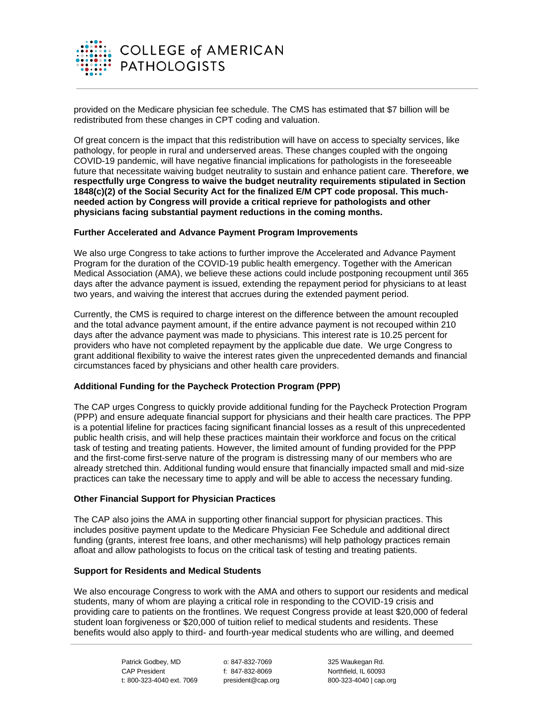

provided on the Medicare physician fee schedule. The CMS has estimated that \$7 billion will be redistributed from these changes in CPT coding and valuation.

Of great concern is the impact that this redistribution will have on access to specialty services, like pathology, for people in rural and underserved areas. These changes coupled with the ongoing COVID-19 pandemic, will have negative financial implications for pathologists in the foreseeable future that necessitate waiving budget neutrality to sustain and enhance patient care. **Therefore**, **we respectfully urge Congress to waive the budget neutrality requirements stipulated in Section 1848(c)(2) of the Social Security Act for the finalized E/M CPT code proposal. This muchneeded action by Congress will provide a critical reprieve for pathologists and other physicians facing substantial payment reductions in the coming months.**

# **Further Accelerated and Advance Payment Program Improvements**

We also urge Congress to take actions to further improve the Accelerated and Advance Payment Program for the duration of the COVID-19 public health emergency. Together with the American Medical Association (AMA), we believe these actions could include postponing recoupment until 365 days after the advance payment is issued, extending the repayment period for physicians to at least two years, and waiving the interest that accrues during the extended payment period.

Currently, the CMS is required to charge interest on the difference between the amount recoupled and the total advance payment amount, if the entire advance payment is not recouped within 210 days after the advance payment was made to physicians. This interest rate is 10.25 percent for providers who have not completed repayment by the applicable due date. We urge Congress to grant additional flexibility to waive the interest rates given the unprecedented demands and financial circumstances faced by physicians and other health care providers.

# **Additional Funding for the Paycheck Protection Program (PPP)**

The CAP urges Congress to quickly provide additional funding for the Paycheck Protection Program (PPP) and ensure adequate financial support for physicians and their health care practices. The PPP is a potential lifeline for practices facing significant financial losses as a result of this unprecedented public health crisis, and will help these practices maintain their workforce and focus on the critical task of testing and treating patients. However, the limited amount of funding provided for the PPP and the first-come first-serve nature of the program is distressing many of our members who are already stretched thin. Additional funding would ensure that financially impacted small and mid-size practices can take the necessary time to apply and will be able to access the necessary funding.

## **Other Financial Support for Physician Practices**

The CAP also joins the AMA in supporting other financial support for physician practices. This includes positive payment update to the Medicare Physician Fee Schedule and additional direct funding (grants, interest free loans, and other mechanisms) will help pathology practices remain afloat and allow pathologists to focus on the critical task of testing and treating patients.

# **Support for Residents and Medical Students**

We also encourage Congress to work with the AMA and others to support our residents and medical students, many of whom are playing a critical role in responding to the COVID-19 crisis and providing care to patients on the frontlines. We request Congress provide at least \$20,000 of federal student loan forgiveness or \$20,000 of tuition relief to medical students and residents. These benefits would also apply to third- and fourth-year medical students who are willing, and deemed

> Patrick Godbey, MD CAP President t: 800-323-4040 ext. 7069

o: 847-832-7069 f: 847-832-8069 president@cap.org

325 Waukegan Rd. Northfield, IL 60093 800-323-4040 | cap.org